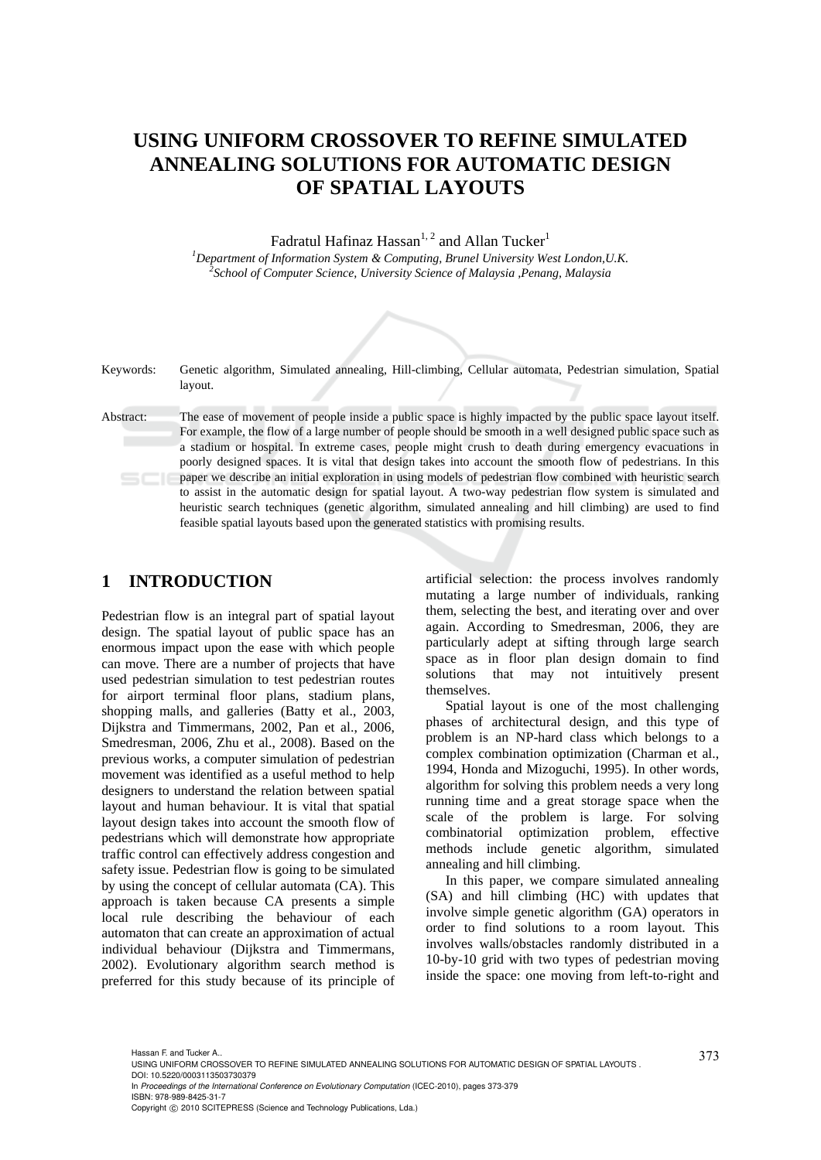# **USING UNIFORM CROSSOVER TO REFINE SIMULATED ANNEALING SOLUTIONS FOR AUTOMATIC DESIGN OF SPATIAL LAYOUTS**

Fadratul Hafinaz Hassan<sup>1, 2</sup> and Allan Tucker<sup>1</sup>

<sup>1</sup><br> *Pepartment of Information System & Computing, Brunel University West London,U.K.*<br>
<sup>2</sup>Sebeck of Computer Science, University Science of Malaysia, Benang, Malaysia. *School of Computer Science, University Science of Malaysia ,Penang, Malaysia* 

| Keywords: | Genetic algorithm, Simulated annealing, Hill-climbing, Cellular automata, Pedestrian simulation, Spatial<br>layout.                                                                                                                                                                                                                                                                                                                                                                                                                                                                                                                                                                                                                                                                                                                                                        |
|-----------|----------------------------------------------------------------------------------------------------------------------------------------------------------------------------------------------------------------------------------------------------------------------------------------------------------------------------------------------------------------------------------------------------------------------------------------------------------------------------------------------------------------------------------------------------------------------------------------------------------------------------------------------------------------------------------------------------------------------------------------------------------------------------------------------------------------------------------------------------------------------------|
| Abstract: | The ease of movement of people inside a public space is highly impacted by the public space layout itself.<br>For example, the flow of a large number of people should be smooth in a well designed public space such as<br>a stadium or hospital. In extreme cases, people might crush to death during emergency evacuations in<br>poorly designed spaces. It is vital that design takes into account the smooth flow of pedestrians. In this<br>paper we describe an initial exploration in using models of pedestrian flow combined with heuristic search<br>to assist in the automatic design for spatial layout. A two-way pedestrian flow system is simulated and<br>heuristic search techniques (genetic algorithm, simulated annealing and hill climbing) are used to find<br>feasible spatial layouts based upon the generated statistics with promising results. |

### **1 INTRODUCTION**

Pedestrian flow is an integral part of spatial layout design. The spatial layout of public space has an enormous impact upon the ease with which people can move. There are a number of projects that have used pedestrian simulation to test pedestrian routes for airport terminal floor plans, stadium plans, shopping malls, and galleries (Batty et al., 2003, Dijkstra and Timmermans, 2002, Pan et al., 2006, Smedresman, 2006, Zhu et al., 2008). Based on the previous works, a computer simulation of pedestrian movement was identified as a useful method to help designers to understand the relation between spatial layout and human behaviour. It is vital that spatial layout design takes into account the smooth flow of pedestrians which will demonstrate how appropriate traffic control can effectively address congestion and safety issue. Pedestrian flow is going to be simulated by using the concept of cellular automata (CA). This approach is taken because CA presents a simple local rule describing the behaviour of each automaton that can create an approximation of actual individual behaviour (Dijkstra and Timmermans, 2002). Evolutionary algorithm search method is preferred for this study because of its principle of

artificial selection: the process involves randomly mutating a large number of individuals, ranking them, selecting the best, and iterating over and over again. According to Smedresman, 2006, they are particularly adept at sifting through large search space as in floor plan design domain to find solutions that may not intuitively present themselves.

Spatial layout is one of the most challenging phases of architectural design, and this type of problem is an NP-hard class which belongs to a complex combination optimization (Charman et al., 1994, Honda and Mizoguchi, 1995). In other words, algorithm for solving this problem needs a very long running time and a great storage space when the scale of the problem is large. For solving combinatorial optimization problem, effective methods include genetic algorithm, simulated annealing and hill climbing.

In this paper, we compare simulated annealing (SA) and hill climbing (HC) with updates that involve simple genetic algorithm (GA) operators in order to find solutions to a room layout. This involves walls/obstacles randomly distributed in a 10-by-10 grid with two types of pedestrian moving inside the space: one moving from left-to-right and

In *Proceedings of the International Conference on Evolutionary Computation* (ICEC-2010), pages 373-379 ISBN: 978-989-8425-31-7

<sup>373</sup> Hassan F. and Tucker A.. USING UNIFORM CROSSOVER TO REFINE SIMULATED ANNEALING SOLUTIONS FOR AUTOMATIC DESIGN OF SPATIAL LAYOUTS . DOI: 10.5220/0003113503730379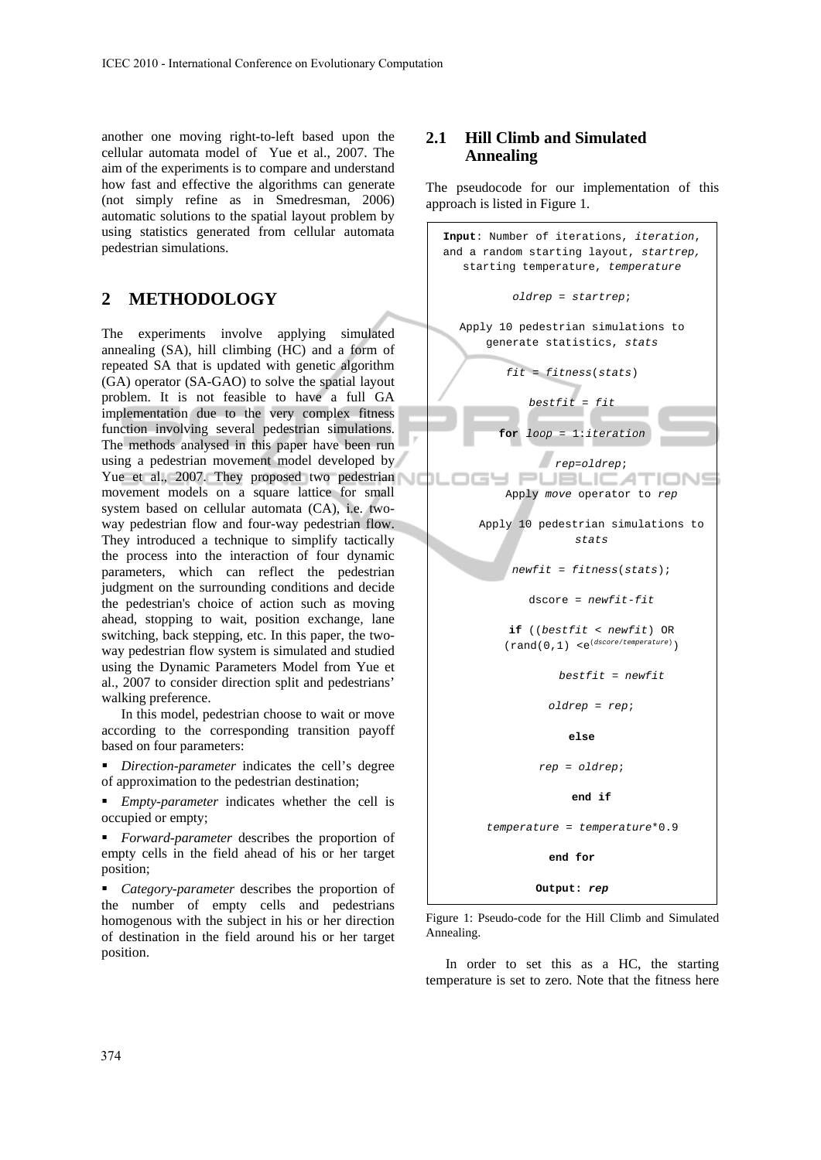another one moving right-to-left based upon the cellular automata model of Yue et al., 2007. The aim of the experiments is to compare and understand how fast and effective the algorithms can generate (not simply refine as in Smedresman, 2006) automatic solutions to the spatial layout problem by using statistics generated from cellular automata pedestrian simulations.

## **2 METHODOLOGY**

The experiments involve applying simulated annealing (SA), hill climbing (HC) and a form of repeated SA that is updated with genetic algorithm (GA) operator (SA-GAO) to solve the spatial layout problem. It is not feasible to have a full GA implementation due to the very complex fitness function involving several pedestrian simulations. The methods analysed in this paper have been run using a pedestrian movement model developed by Yue et al., 2007. They proposed two pedestrian movement models on a square lattice for small system based on cellular automata (CA), i.e. twoway pedestrian flow and four-way pedestrian flow. They introduced a technique to simplify tactically the process into the interaction of four dynamic parameters, which can reflect the pedestrian judgment on the surrounding conditions and decide the pedestrian's choice of action such as moving ahead, stopping to wait, position exchange, lane switching, back stepping, etc. In this paper, the twoway pedestrian flow system is simulated and studied using the Dynamic Parameters Model from Yue et al., 2007 to consider direction split and pedestrians' walking preference.

In this model, pedestrian choose to wait or move according to the corresponding transition payoff based on four parameters:

 *Direction-parameter* indicates the cell's degree of approximation to the pedestrian destination;

 *Empty-parameter* indicates whether the cell is occupied or empty;

 *Forward-parameter* describes the proportion of empty cells in the field ahead of his or her target position;

 *Category-parameter* describes the proportion of the number of empty cells and pedestrians homogenous with the subject in his or her direction of destination in the field around his or her target position.

### **2.1 Hill Climb and Simulated Annealing**

The pseudocode for our implementation of this approach is listed in Figure 1.

| Input: Number of iterations, iteration,<br>and a random starting layout, startrep,                   |  |  |  |  |
|------------------------------------------------------------------------------------------------------|--|--|--|--|
| starting temperature, temperature                                                                    |  |  |  |  |
| oldrep = startrep;                                                                                   |  |  |  |  |
| Apply 10 pedestrian simulations to<br>generate statistics, stats                                     |  |  |  |  |
| $fit = fitness(stats)$                                                                               |  |  |  |  |
| $bestfit = fit$                                                                                      |  |  |  |  |
| for $loop = 1$ : iteration                                                                           |  |  |  |  |
| rep=oldrep;                                                                                          |  |  |  |  |
| PUBLICA'                                                                                             |  |  |  |  |
| Apply move operator to rep                                                                           |  |  |  |  |
| Apply 10 pedestrian simulations to<br>stats                                                          |  |  |  |  |
| $newfit = fitness(stats);$                                                                           |  |  |  |  |
| $dscore = newfit-fit$                                                                                |  |  |  |  |
| $if (bestfit < newfit)$ OR<br>$(\,\mathrm{rand}\,(\,0\,,1\,)$ $\,$ $<\!e^{(dscore/temperature)}$ $)$ |  |  |  |  |
| $bestfit = newfit$                                                                                   |  |  |  |  |
| oldrep = rep;                                                                                        |  |  |  |  |
| else                                                                                                 |  |  |  |  |
| rep = oldrep;                                                                                        |  |  |  |  |
| end if                                                                                               |  |  |  |  |
| temperature = temperature*0.9                                                                        |  |  |  |  |
| end for                                                                                              |  |  |  |  |
| Output: rep                                                                                          |  |  |  |  |
|                                                                                                      |  |  |  |  |

Figure 1: Pseudo-code for the Hill Climb and Simulated Annealing.

In order to set this as a HC, the starting temperature is set to zero. Note that the fitness here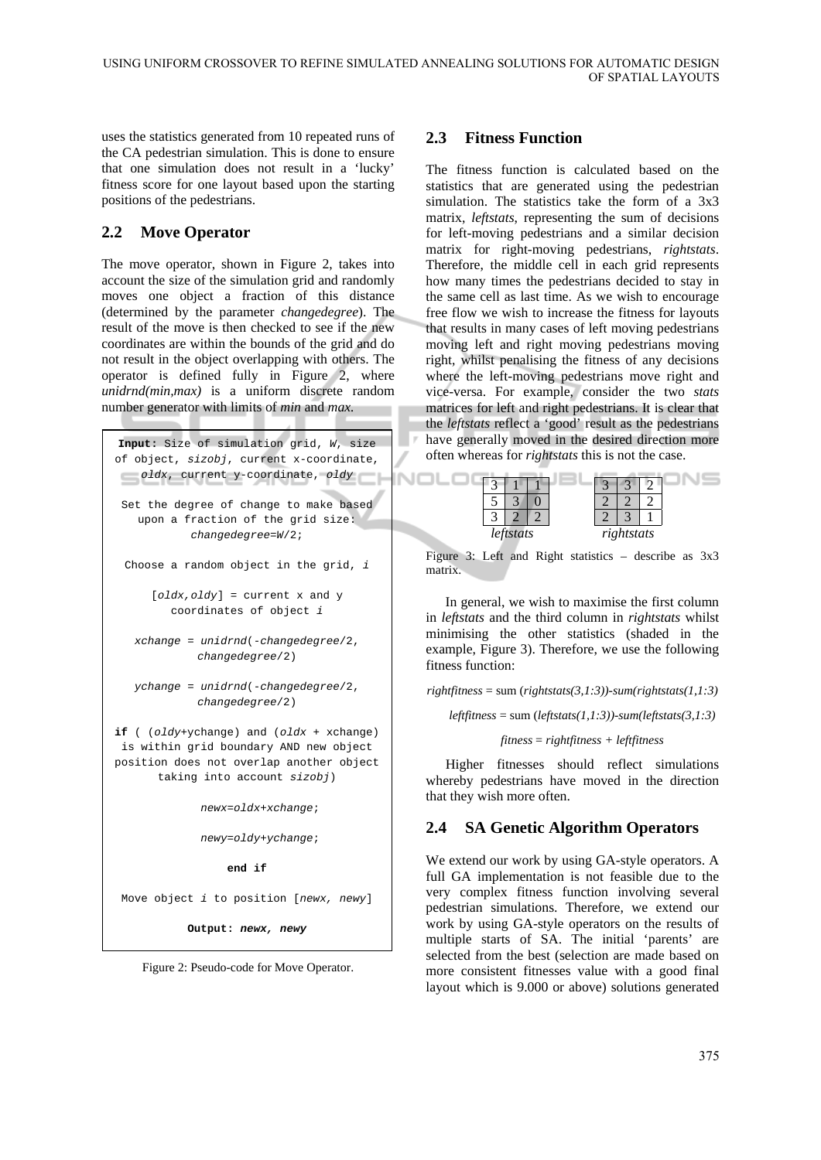uses the statistics generated from 10 repeated runs of the CA pedestrian simulation. This is done to ensure that one simulation does not result in a 'lucky' fitness score for one layout based upon the starting positions of the pedestrians.

### **2.2 Move Operator**

The move operator, shown in Figure 2, takes into account the size of the simulation grid and randomly moves one object a fraction of this distance (determined by the parameter *changedegree*). The result of the move is then checked to see if the new coordinates are within the bounds of the grid and do not result in the object overlapping with others. The operator is defined fully in Figure 2, where *unidrnd(min,max)* is a uniform discrete random number generator with limits of *min* and *max.* 

```
Input: Size of simulation grid, W, size 
of object, sizobj, current x-coordinate, 
 oldx, current y-coordinate, oldy
                                           INOLD
 Set the degree of change to make based 
   upon a fraction of the grid size: 
           changedegree=W/2; 
 Choose a random object in the grid, i
     [oldx,oldy] = current x and y 
        coordinates of object i
   xchange = unidrnd(-changedegree/2, 
            changedegree/2) 
   ychange = unidrnd(-changedegree/2, 
            changedegree/2) 
if ( (oldy+ychange) and (oldx + xchange) 
 is within grid boundary AND new object 
position does not overlap another object 
      taking into account sizobj) 
              newx=oldx+xchange;
```
*newy*=*oldy*+*ychange*;

**end if** 

Move object *i* to position [*newx, newy*]

**Output:** *newx, newy*

Figure 2: Pseudo-code for Move Operator.

#### **2.3 Fitness Function**

The fitness function is calculated based on the statistics that are generated using the pedestrian simulation. The statistics take the form of a 3x3 matrix, *leftstats*, representing the sum of decisions for left-moving pedestrians and a similar decision matrix for right-moving pedestrians, *rightstats*. Therefore, the middle cell in each grid represents how many times the pedestrians decided to stay in the same cell as last time. As we wish to encourage free flow we wish to increase the fitness for layouts that results in many cases of left moving pedestrians moving left and right moving pedestrians moving right, whilst penalising the fitness of any decisions where the left-moving pedestrians move right and vice-versa. For example, consider the two *stats* matrices for left and right pedestrians. It is clear that the *leftstats* reflect a 'good' result as the pedestrians have generally moved in the desired direction more often whereas for *rightstats* this is not the case.

|  | leftstats |  | rightstats |  |
|--|-----------|--|------------|--|

Figure 3: Left and Right statistics – describe as 3x3 matrix.

In general, we wish to maximise the first column in *leftstats* and the third column in *rightstats* whilst minimising the other statistics (shaded in the example, Figure 3). Therefore, we use the following fitness function:

*rightfitness* = sum (*rightstats(3,1:3))-sum(rightstats(1,1:3)* 

 $leftiness = sum (leftstats(1,1:3)) - sum(leftstats(3,1:3))$ 

*fitness* = *rightfitness + leftfitness* 

Higher fitnesses should reflect simulations whereby pedestrians have moved in the direction that they wish more often.

### **2.4 SA Genetic Algorithm Operators**

We extend our work by using GA-style operators. A full GA implementation is not feasible due to the very complex fitness function involving several pedestrian simulations. Therefore, we extend our work by using GA-style operators on the results of multiple starts of SA. The initial 'parents' are selected from the best (selection are made based on more consistent fitnesses value with a good final layout which is 9.000 or above) solutions generated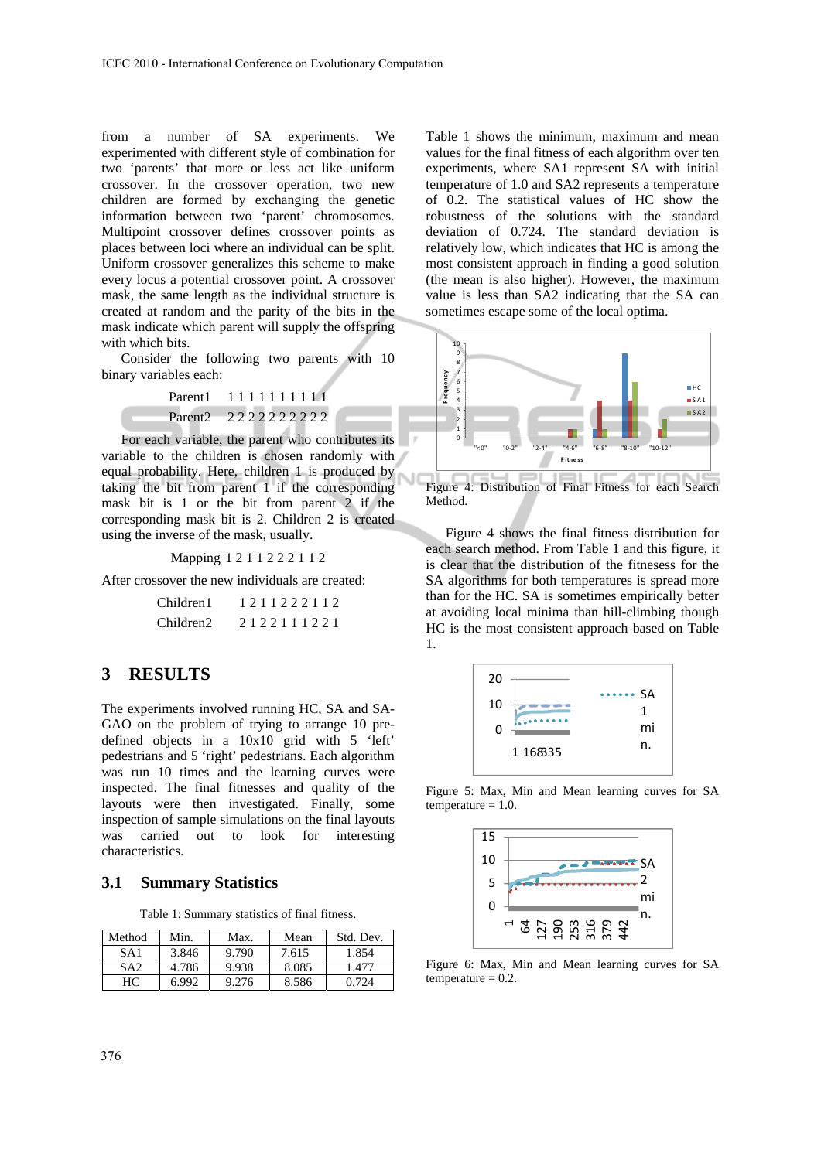from a number of SA experiments. We experimented with different style of combination for two 'parents' that more or less act like uniform crossover. In the crossover operation, two new children are formed by exchanging the genetic information between two 'parent' chromosomes. Multipoint crossover defines crossover points as places between loci where an individual can be split. Uniform crossover generalizes this scheme to make every locus a potential crossover point. A crossover mask, the same length as the individual structure is created at random and the parity of the bits in the mask indicate which parent will supply the offspring with which bits.

Consider the following two parents with 10 binary variables each:

> Parent1 1 1 1 1 1 1 1 1 1 1 Parent2 2 2 2 2 2 2 2 2 2

For each variable, the parent who contributes its variable to the children is chosen randomly with equal probability. Here, children 1 is produced by taking the bit from parent 1 if the corresponding mask bit is 1 or the bit from parent 2 if the corresponding mask bit is 2. Children 2 is created using the inverse of the mask, usually.

Mapping 1 2 1 1 2 2 2 1 1 2

After crossover the new individuals are created:

| Children1             | 1211222112 |
|-----------------------|------------|
| Children <sub>2</sub> | 2122111221 |

#### **3 RESULTS**

The experiments involved running HC, SA and SA-GAO on the problem of trying to arrange 10 predefined objects in a 10x10 grid with 5 'left' pedestrians and 5 'right' pedestrians. Each algorithm was run 10 times and the learning curves were inspected. The final fitnesses and quality of the layouts were then investigated. Finally, some inspection of sample simulations on the final layouts was carried out to look for interesting characteristics.

#### **3.1 Summary Statistics**

Table 1: Summary statistics of final fitness.

| Method          | Min.  | Max.  | Mean  | Std. Dev. |
|-----------------|-------|-------|-------|-----------|
| SA <sub>1</sub> | 3.846 | 9.790 | 7.615 | 1.854     |
| SA <sub>2</sub> | 4.786 | 9.938 | 8.085 | 1.477     |
| HС              | 6.992 | 9.276 | 8.586 | 0.724     |

Table 1 shows the minimum, maximum and mean values for the final fitness of each algorithm over ten experiments, where SA1 represent SA with initial temperature of 1.0 and SA2 represents a temperature of 0.2. The statistical values of HC show the robustness of the solutions with the standard deviation of 0.724. The standard deviation is relatively low, which indicates that HC is among the most consistent approach in finding a good solution (the mean is also higher). However, the maximum value is less than SA2 indicating that the SA can sometimes escape some of the local optima.



Figure 4: Distribution of Final Fitness for each Search Method.

Figure 4 shows the final fitness distribution for each search method. From Table 1 and this figure, it is clear that the distribution of the fitnesess for the SA algorithms for both temperatures is spread more than for the HC. SA is sometimes empirically better at avoiding local minima than hill-climbing though HC is the most consistent approach based on Table 1.



Figure 5: Max, Min and Mean learning curves for SA  $temperature = 1.0.$ 



Figure 6: Max, Min and Mean learning curves for SA  $temperature = 0.2$ .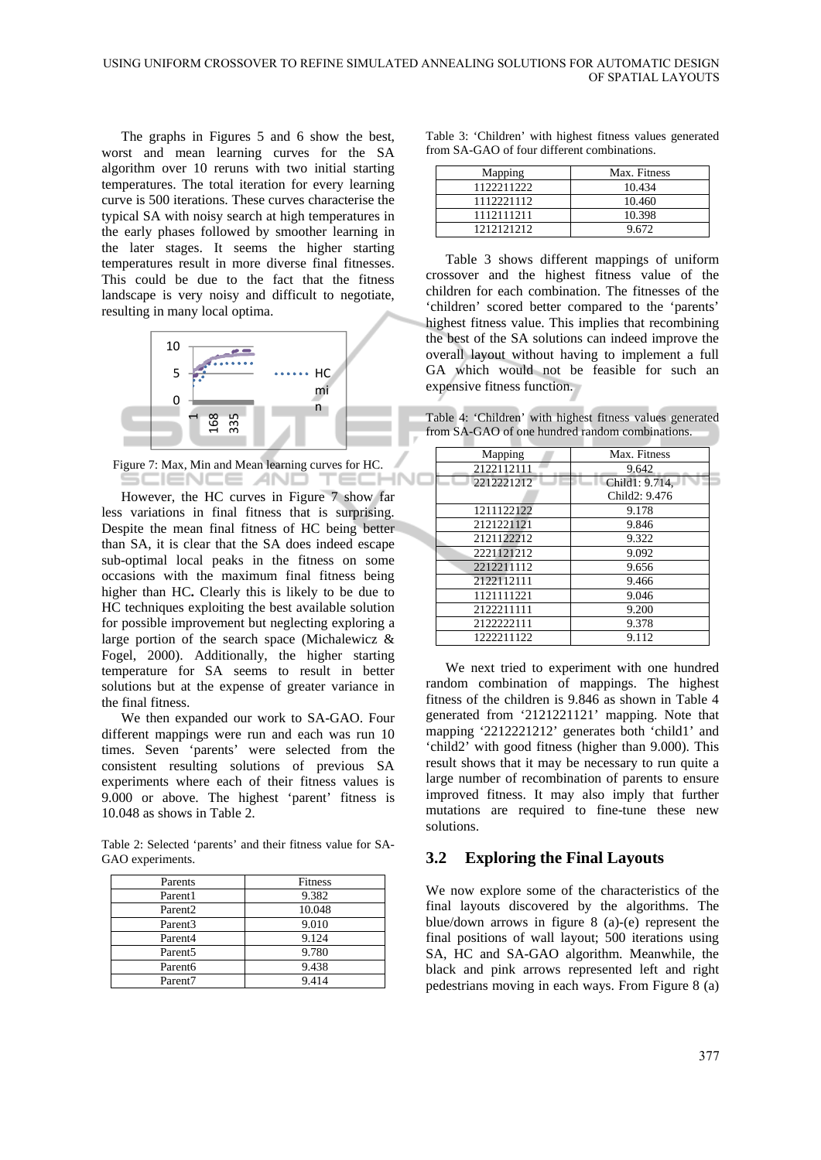-INC

The graphs in Figures 5 and 6 show the best, worst and mean learning curves for the SA algorithm over 10 reruns with two initial starting temperatures. The total iteration for every learning curve is 500 iterations. These curves characterise the typical SA with noisy search at high temperatures in the early phases followed by smoother learning in the later stages. It seems the higher starting temperatures result in more diverse final fitnesses. This could be due to the fact that the fitness landscape is very noisy and difficult to negotiate, resulting in many local optima.



Figure 7: Max, Min and Mean learning curves for HC. SCIENCE *A*ND TECK

However, the HC curves in Figure 7 show far less variations in final fitness that is surprising. Despite the mean final fitness of HC being better than SA, it is clear that the SA does indeed escape sub-optimal local peaks in the fitness on some occasions with the maximum final fitness being higher than HC**.** Clearly this is likely to be due to HC techniques exploiting the best available solution for possible improvement but neglecting exploring a large portion of the search space (Michalewicz & Fogel, 2000). Additionally, the higher starting temperature for SA seems to result in better solutions but at the expense of greater variance in the final fitness.

We then expanded our work to SA-GAO. Four different mappings were run and each was run 10 times. Seven 'parents' were selected from the consistent resulting solutions of previous SA experiments where each of their fitness values is 9.000 or above. The highest 'parent' fitness is 10.048 as shows in Table 2.

Table 2: Selected 'parents' and their fitness value for SA-GAO experiments.

| Parents             | Fitness |
|---------------------|---------|
| Parent1             | 9.382   |
| Parent <sub>2</sub> | 10.048  |
| Parent <sub>3</sub> | 9.010   |
| Parent <sub>4</sub> | 9.124   |
| Parent <sub>5</sub> | 9.780   |
| Parent <sub>6</sub> | 9.438   |
| Parent7             | 9.414   |

| Table 3: 'Children' with highest fitness values generated |  |  |
|-----------------------------------------------------------|--|--|
| from SA-GAO of four different combinations.               |  |  |

| Mapping    | Max. Fitness |
|------------|--------------|
| 1122211222 | 10.434       |
| 1112221112 | 10.460       |
| 1112111211 | 10.398       |
| 1212121212 | 9.672        |

Table 3 shows different mappings of uniform crossover and the highest fitness value of the children for each combination. The fitnesses of the 'children' scored better compared to the 'parents' highest fitness value. This implies that recombining the best of the SA solutions can indeed improve the overall layout without having to implement a full GA which would not be feasible for such an expensive fitness function.

Table 4: 'Children' with highest fitness values generated from SA-GAO of one hundred random combinations.

| Mapping    | Max. Fitness   |
|------------|----------------|
| 2122112111 | 9.642          |
| 2212221212 | Child1: 9.714. |
|            | Child2: 9.476  |
| 1211122122 | 9.178          |
| 2121221121 | 9.846          |
| 2121122212 | 9.322          |
| 2221121212 | 9.092          |
| 2212211112 | 9.656          |
| 2122112111 | 9.466          |
| 1121111221 | 9.046          |
| 2122211111 | 9.200          |
| 2122222111 | 9.378          |
| 1222211122 | 9.112          |

We next tried to experiment with one hundred random combination of mappings. The highest fitness of the children is 9.846 as shown in Table 4 generated from '2121221121' mapping. Note that mapping '2212221212' generates both 'child1' and 'child2' with good fitness (higher than 9.000). This result shows that it may be necessary to run quite a large number of recombination of parents to ensure improved fitness. It may also imply that further mutations are required to fine-tune these new solutions.

#### **3.2 Exploring the Final Layouts**

We now explore some of the characteristics of the final layouts discovered by the algorithms. The blue/down arrows in figure 8 (a)-(e) represent the final positions of wall layout; 500 iterations using SA, HC and SA-GAO algorithm. Meanwhile, the black and pink arrows represented left and right pedestrians moving in each ways. From Figure 8 (a)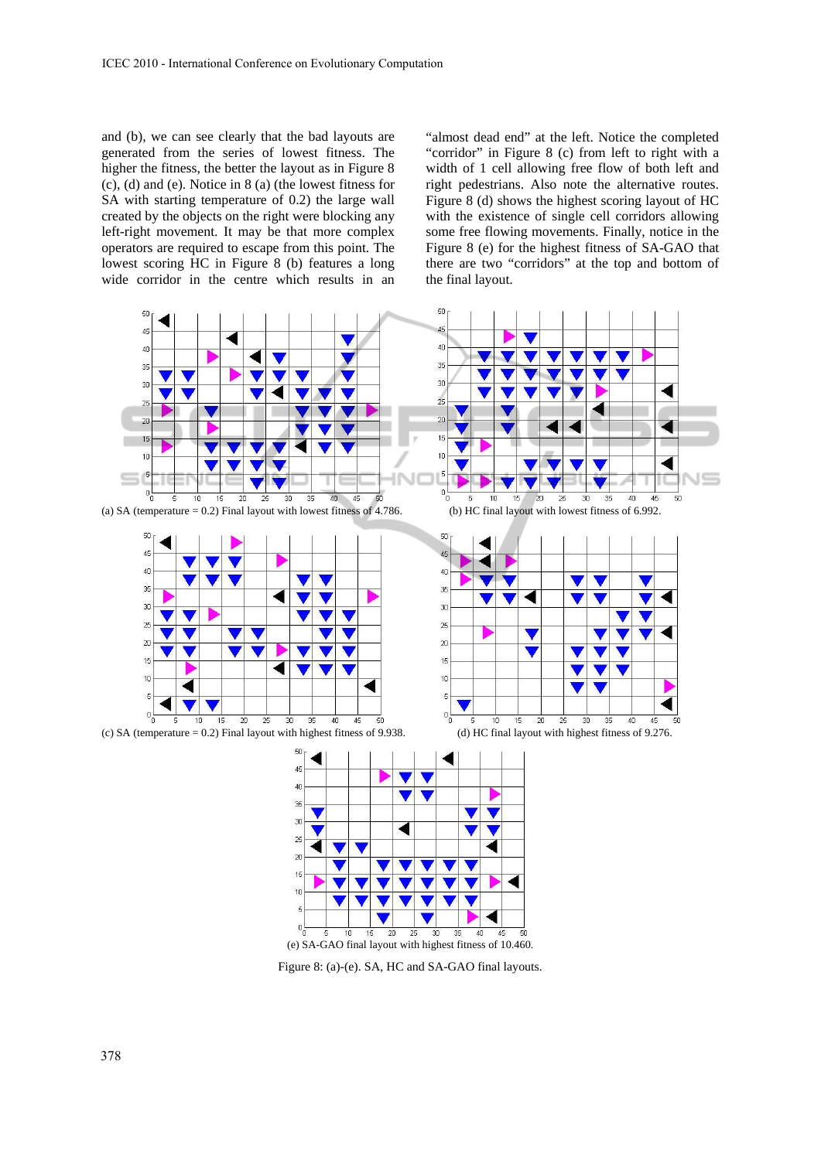and (b), we can see clearly that the bad layouts are generated from the series of lowest fitness. The higher the fitness, the better the layout as in Figure 8 (c), (d) and (e). Notice in 8 (a) (the lowest fitness for SA with starting temperature of 0.2) the large wall created by the objects on the right were blocking any left-right movement. It may be that more complex operators are required to escape from this point. The lowest scoring HC in Figure 8 (b) features a long wide corridor in the centre which results in an

"almost dead end" at the left. Notice the completed "corridor" in Figure 8 (c) from left to right with a width of 1 cell allowing free flow of both left and right pedestrians. Also note the alternative routes. Figure 8 (d) shows the highest scoring layout of HC with the existence of single cell corridors allowing some free flowing movements. Finally, notice in the Figure 8 (e) for the highest fitness of SA-GAO that there are two "corridors" at the top and bottom of the final layout.



Figure 8: (a)-(e). SA, HC and SA-GAO final layouts.